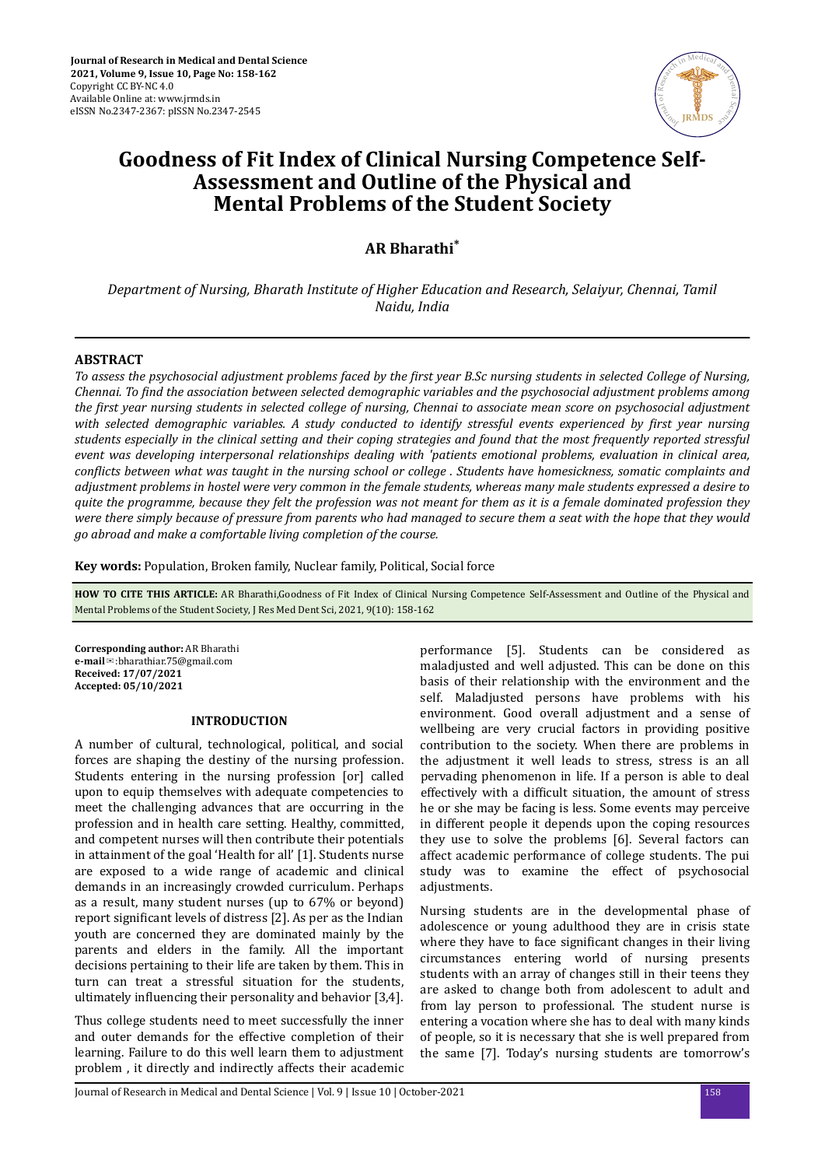

# **Goodness of Fit Index of Clinical Nursing Competence Self-Assessment and Outline of the Physical and Mental Problems of the Student Society**

**AR Bharathi\***

*Department of Nursing, Bharath Institute of Higher Education and Research, Selaiyur, Chennai, Tamil Naidu, India*

#### **ABSTRACT**

*To assess the psychosocial adjustment problems faced by the first year B.Sc nursing students in selected College of Nursing, Chennai. To ϔnd the association between selected demographic variables and the psychosocial adjustment problems among the ϔrst year nursing students in selected college of nursing, Chennai to associate mean score on psychosocial adjustment with selected demographic variables. A study conducted to identify stressful events experienced by first year nursing students especially in the clinical setting and their coping strategies and found that the most frequently reported stressful event was developing interpersonal relationships dealing with 'patients emotional problems, evaluation in clinical area, conϔcts between what was taught in the nursing school or college . Students have homesickness, somatic complaints and adjustment problems in hostel were very common in the female students, whereas many male students expressed a desire to quite the programme, because they felt the profession was not meant for them as it is a female dominated profession they were there simply because of pressure from parents who had managed to secure them a seat with the hope that they would go abroad and make a comfortable living completion of the course.*

**Key words:** Population, Broken family, Nuclear family, Political, Social force

**HOW TO CITE THIS ARTICLE:** AR Bharathi,Goodness of Fit Index of Clinical Nursing Competence Self-Assessment and Outline of the Physical and Mental Problems of the Student Society, J Res Med Dent Sci, 2021, 9(10): 158-162

**Corresponding author:** AR Bharathi **e-mail**✉:bharathiar.75@gmail.com **Received: 17/07/2021 Accepted: 05/10/2021**

#### **INTRODUCTION**

A number of cultural, technological, political, and social forces are shaping the destiny of the nursing profession. Students entering in the nursing profession [or] called upon to equip themselves with adequate competencies to meet the challenging advances that are occurring in the profession and in health care setting. Healthy, committed, and competent nurses will then contribute their potentials in attainment of the goal 'Health for all' [1]. Students nurse are exposed to a wide range of academic and clinical demands in an increasingly crowded curriculum. Perhaps as a result, many student nurses (up to 67% or beyond) report significant levels of distress [2]. As per as the Indian youth are concerned they are dominated mainly by the parents and elders in the family. All the important decisions pertaining to their life are taken by them. This in turn can treat a stressful situation for the students, ultimately influencing their personality and behavior [3,4].

Thus college students need to meet successfully the inner and outer demands for the effective completion of their learning. Failure to do this well learn them to adjustment problem , it directly and indirectly affects their academic

performance [5]. Students can be considered as maladjusted and well adjusted. This can be done on this basis of their relationship with the environment and the self. Maladjusted persons have problems with his environment. Good overall adjustment and a sense of wellbeing are very crucial factors in providing positive contribution to the society. When there are problems in the adjustment it well leads to stress, stress is an all pervading phenomenon in life. If a person is able to deal effectively with a difficult situation, the amount of stress he or she may be facing is less. Some events may perceive in different people it depends upon the coping resources they use to solve the problems [6]. Several factors can affect academic performance of college students. The pui study was to examine the effect of psychosocial adjustments.

Nursing students are in the developmental phase of adolescence or young adulthood they are in crisis state where they have to face significant changes in their living circumstances entering world of nursing presents students with an array of changes still in their teens they are asked to change both from adolescent to adult and from lay person to professional. The student nurse is entering a vocation where she has to deal with many kinds of people, so it is necessary that she is well prepared from the same [7]. Today's nursing students are tomorrow's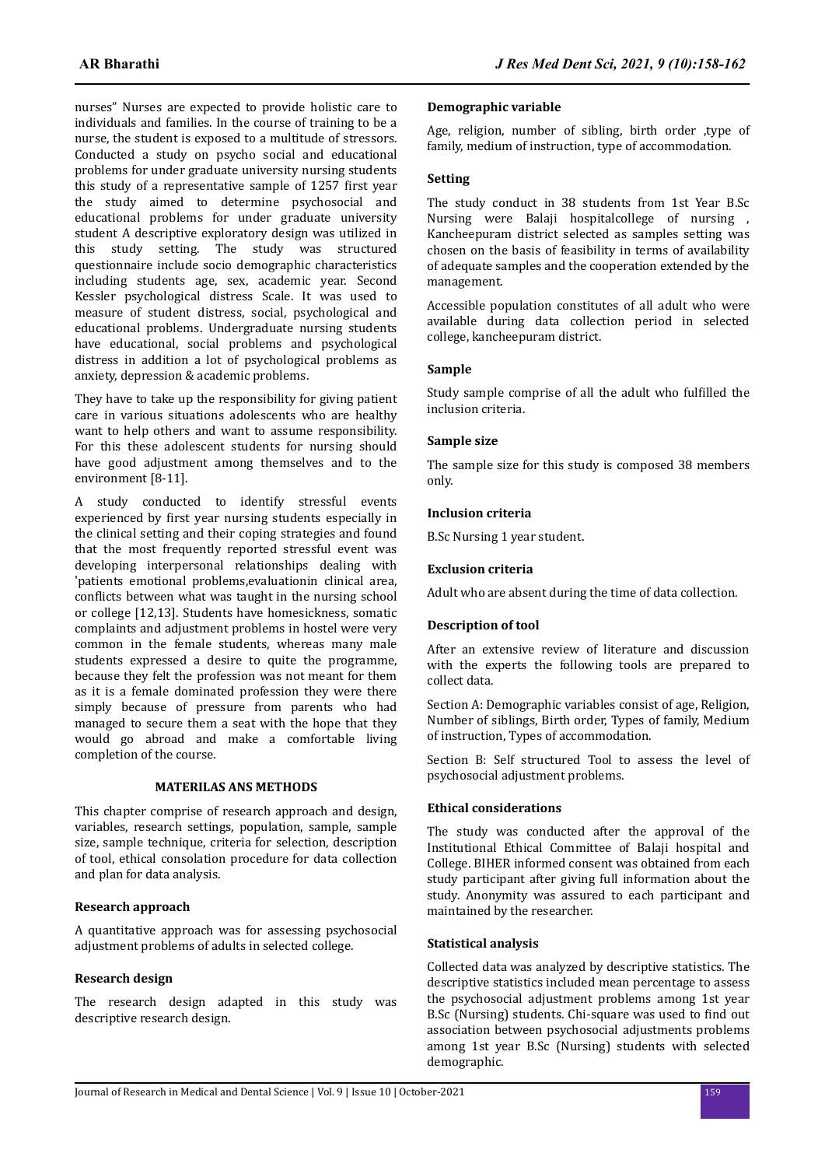nurses" Nurses are expected to provide holistic care to individuals and families. In the course of training to be a nurse, the student is exposed to a multitude of stressors. Conducted a study on psycho social and educational problems for under graduate university nursing students this study of a representative sample of 1257 first year the study aimed to determine psychosocial and educational problems for under graduate university student A descriptive exploratory design was utilized in this study setting. The study was structured questionnaire include socio demographic characteristics including students age, sex, academic year. Second Kessler psychological distress Scale. It was used to measure of student distress, social, psychological and educational problems. Undergraduate nursing students have educational, social problems and psychological distress in addition a lot of psychological problems as anxiety, depression & academic problems.

They have to take up the responsibility for giving patient care in various situations adolescents who are healthy want to help others and want to assume responsibility. For this these adolescent students for nursing should have good adjustment among themselves and to the environment [8-11].

A study conducted to identify stressful events experienced by first year nursing students especially in the clinical setting and their coping strategies and found that the most frequently reported stressful event was developing interpersonal relationships dealing with 'patients emotional problems,evaluationin clinical area, conflicts between what was taught in the nursing school or college [12,13]. Students have homesickness, somatic complaints and adjustment problems in hostel were very common in the female students, whereas many male students expressed a desire to quite the programme, because they felt the profession was not meant for them as it is a female dominated profession they were there simply because of pressure from parents who had managed to secure them a seat with the hope that they would go abroad and make a comfortable living completion of the course.

## **MATERILAS ANS METHODS**

This chapter comprise of research approach and design, variables, research settings, population, sample, sample size, sample technique, criteria for selection, description of tool, ethical consolation procedure for data collection and plan for data analysis.

## **Research approach**

A quantitative approach was for assessing psychosocial adjustment problems of adults in selected college.

## **Research design**

The research design adapted in this study was descriptive research design.

#### **Demographic variable**

Age, religion, number of sibling, birth order ,type of family, medium of instruction, type of accommodation.

### **Setting**

The study conduct in 38 students from 1st Year B.Sc Nursing were Balaji hospitalcollege of nursing , Kancheepuram district selected as samples setting was chosen on the basis of feasibility in terms of availability of adequate samples and the cooperation extended by the management.

Accessible population constitutes of all adult who were available during data collection period in selected college, kancheepuram district.

#### **Sample**

Study sample comprise of all the adult who fulfilled the inclusion criteria.

#### **Sample size**

The sample size for this study is composed 38 members only.

#### **Inclusion criteria**

B.Sc Nursing 1 year student.

### **Exclusion criteria**

Adult who are absent during the time of data collection.

## **Description of tool**

After an extensive review of literature and discussion with the experts the following tools are prepared to collect data.

Section A: Demographic variables consist of age, Religion, Number of siblings, Birth order, Types of family, Medium of instruction, Types of accommodation.

Section B: Self structured Tool to assess the level of psychosocial adjustment problems.

## **Ethical considerations**

The study was conducted after the approval of the Institutional Ethical Committee of Balaji hospital and College. BIHER informed consent was obtained from each study participant after giving full information about the study. Anonymity was assured to each participant and maintained by the researcher.

#### **Statistical analysis**

Collected data was analyzed by descriptive statistics. The descriptive statistics included mean percentage to assess the psychosocial adjustment problems among 1st year B.Sc (Nursing) students. Chi-square was used to find out association between psychosocial adjustments problems among 1st year B.Sc (Nursing) students with selected demographic.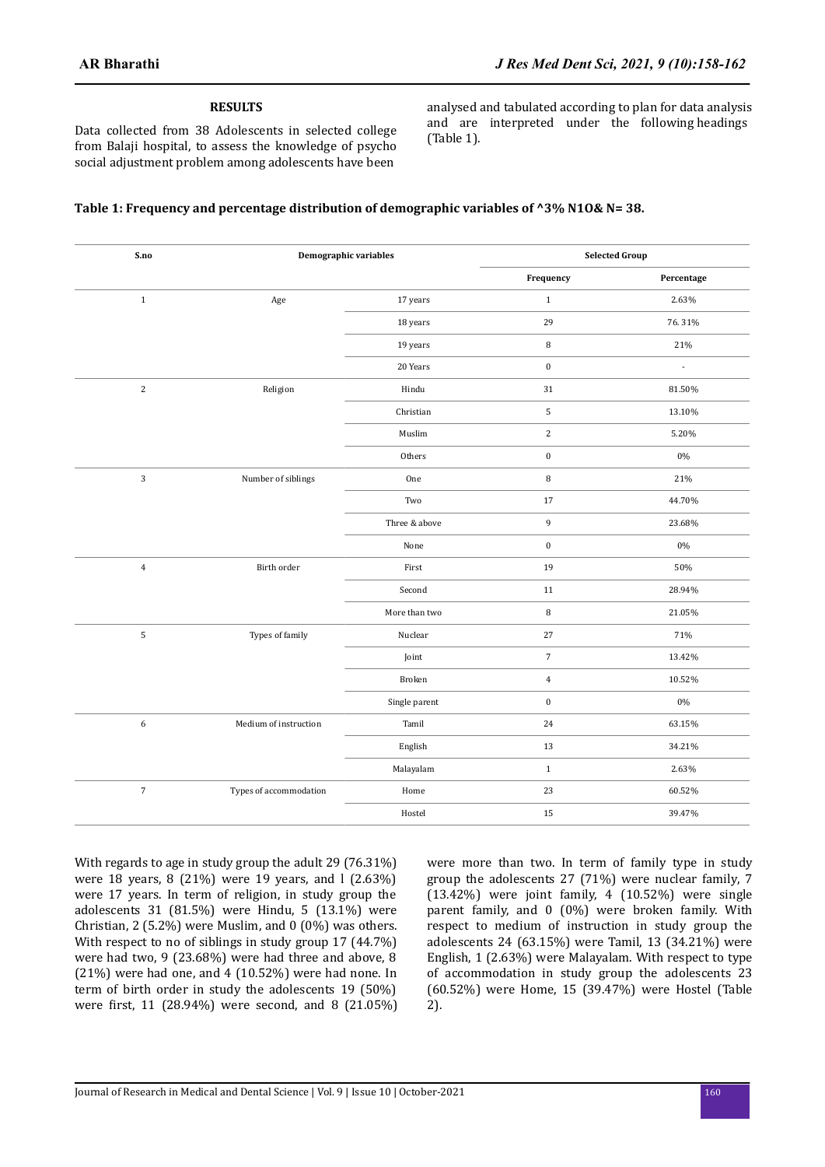#### **RESULTS**

Data collected from 38 Adolescents in selected college from Balaji hospital, to assess the knowledge of psycho social adjustment problem among adolescents have been

analysed and tabulated according to plan for data analysis and are interpreted under the following headings (Table 1).

# **Table 1: Frequency and percentage distribution of demographic variables of ^3% N1O& N= 38.**

| S.no             | Demographic variables  |               | <b>Selected Group</b> |            |  |
|------------------|------------------------|---------------|-----------------------|------------|--|
|                  |                        |               | Frequency             | Percentage |  |
| $\,1\,$          | Age                    | 17 years      | $\mathbf{1}$          | 2.63%      |  |
|                  |                        | 18 years      | 29                    | 76.31%     |  |
|                  |                        | 19 years      | $\, 8$                | 21%        |  |
|                  |                        | 20 Years      | $\pmb{0}$             | ÷.         |  |
| $\overline{2}$   | Religion               | Hindu         | 31                    | 81.50%     |  |
|                  |                        | Christian     | $\sqrt{5}$            | 13.10%     |  |
|                  |                        | Muslim        | $\overline{2}$        | 5.20%      |  |
|                  |                        | Others        | $\boldsymbol{0}$      | $0\%$      |  |
| 3                | Number of siblings     | One           | $\, 8$                | 21%        |  |
|                  |                        | Two           | $17\,$                | 44.70%     |  |
|                  |                        | Three & above | 9                     | 23.68%     |  |
|                  |                        | None          | $\boldsymbol{0}$      | $0\%$      |  |
| $\overline{4}$   | Birth order            | First         | 19                    | 50%        |  |
|                  |                        | Second        | $11\,$                | 28.94%     |  |
|                  |                        | More than two | $\, 8$                | 21.05%     |  |
| 5                | Types of family        | Nuclear       | 27                    | 71%        |  |
|                  |                        | Joint         | $\overline{7}$        | 13.42%     |  |
|                  |                        | Broken        | $\overline{4}$        | 10.52%     |  |
|                  |                        | Single parent | $\boldsymbol{0}$      | $0\%$      |  |
| $\boldsymbol{6}$ | Medium of instruction  | Tamil         | 24                    | 63.15%     |  |
|                  |                        | English       | 13                    | 34.21%     |  |
|                  |                        | Malayalam     | $1\,$                 | 2.63%      |  |
| $\sqrt{7}$       | Types of accommodation | Home          | 23                    | 60.52%     |  |
|                  |                        | Hostel        | 15                    | 39.47%     |  |
|                  |                        |               |                       |            |  |

With regards to age in study group the adult 29 (76.31%) were 18 years, 8 (21%) were 19 years, and l (2.63%) were 17 years. In term of religion, in study group the adolescents 31 (81.5%) were Hindu, 5 (13.1%) were Christian, 2 (5.2%) were Muslim, and 0 (0%) was others. With respect to no of siblings in study group 17 (44.7%) were had two, 9 (23.68%) were had three and above, 8 (21%) were had one, and 4 (10.52%) were had none. In term of birth order in study the adolescents 19 (50%) were first, 11 (28.94%) were second, and 8 (21.05%) were more than two. In term of family type in study group the adolescents 27 (71%) were nuclear family, 7 (13.42%) were joint family, 4 (10.52%) were single parent family, and 0 (0%) were broken family. With respect to medium of instruction in study group the adolescents 24 (63.15%) were Tamil, 13 (34.21%) were English, 1 (2.63%) were Malayalam. With respect to type of accommodation in study group the adolescents 23 (60.52%) were Home, 15 (39.47%) were Hostel (Table 2).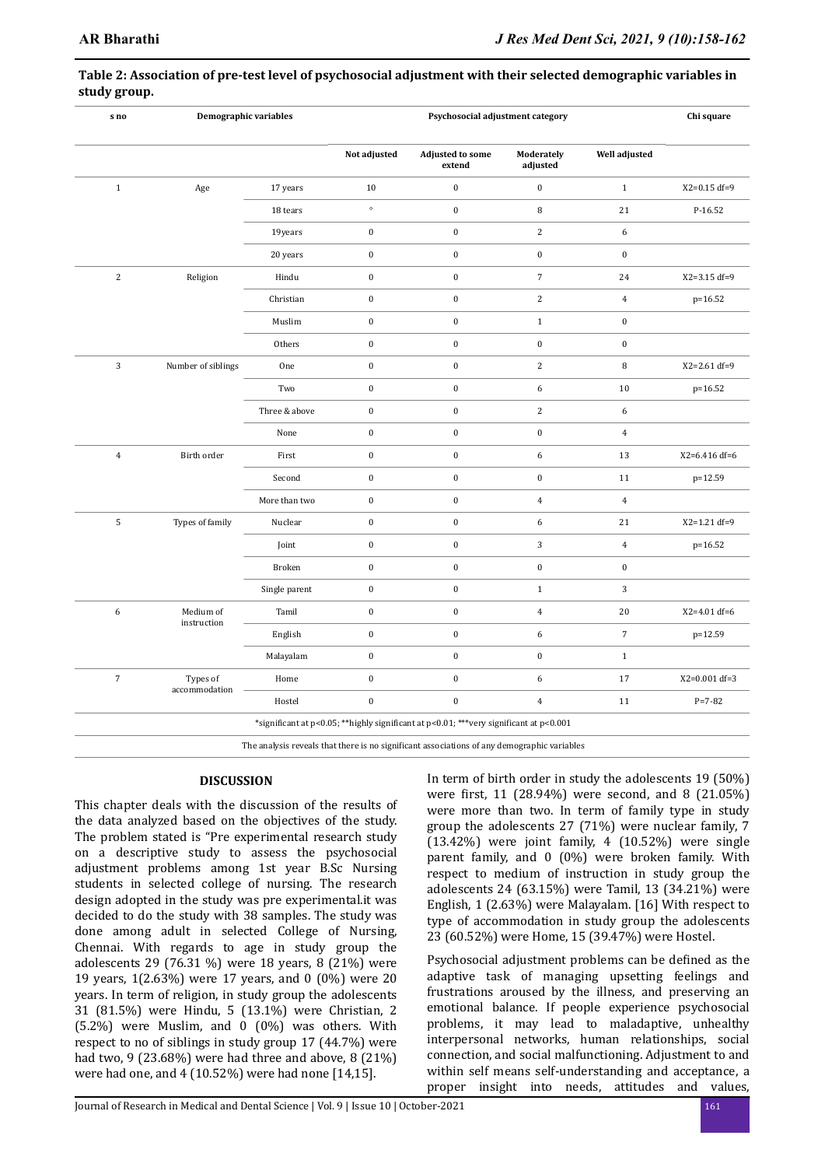| s no           | Demographic variables |               | Psychosocial adjustment category |                                                                                             |                        |                  | Chi square         |
|----------------|-----------------------|---------------|----------------------------------|---------------------------------------------------------------------------------------------|------------------------|------------------|--------------------|
|                |                       |               | Not adjusted                     | <b>Adjusted to some</b><br>extend                                                           | Moderately<br>adjusted | Well adjusted    |                    |
| $\,1\,$        | Age                   | 17 years      | 10                               | $\pmb{0}$                                                                                   | $\pmb{0}$              | $1\,$            | $X2 = 0.15 df = 9$ |
|                |                       | 18 tears      | $\circ$                          | $\boldsymbol{0}$                                                                            | 8                      | 21               | P-16.52            |
|                |                       | 19years       | $\boldsymbol{0}$                 | $\boldsymbol{0}$                                                                            | $\sqrt{2}$             | 6                |                    |
|                |                       | 20 years      | $\pmb{0}$                        | $\pmb{0}$                                                                                   | $\pmb{0}$              | $\boldsymbol{0}$ |                    |
| $\sqrt{2}$     | Religion              | Hindu         | $\boldsymbol{0}$                 | $\boldsymbol{0}$                                                                            | $\sqrt{ }$             | 24               | $X2 = 3.15 df = 9$ |
|                |                       | Christian     | $\boldsymbol{0}$                 | $\pmb{0}$                                                                                   | $\sqrt{2}$             | $\overline{4}$   | p=16.52            |
|                |                       | Muslim        | $\boldsymbol{0}$                 | $\pmb{0}$                                                                                   | $\,1\,$                | $\boldsymbol{0}$ |                    |
|                |                       | Others        | $\boldsymbol{0}$                 | $\boldsymbol{0}$                                                                            | $\pmb{0}$              | $\boldsymbol{0}$ |                    |
| 3              | Number of siblings    | One           | $\boldsymbol{0}$                 | $\boldsymbol{0}$                                                                            | $\sqrt{2}$             | 8                | $X2 = 2.61 df = 9$ |
|                |                       | Two           | $\boldsymbol{0}$                 | $\boldsymbol{0}$                                                                            | $\boldsymbol{6}$       | 10               | p=16.52            |
|                |                       | Three & above | $\boldsymbol{0}$                 | $\boldsymbol{0}$                                                                            | $\sqrt{2}$             | 6                |                    |
|                |                       | None          | $\boldsymbol{0}$                 | $\boldsymbol{0}$                                                                            | $\boldsymbol{0}$       | $\overline{4}$   |                    |
| $\overline{4}$ | Birth order           | First         | $\boldsymbol{0}$                 | $\pmb{0}$                                                                                   | $\boldsymbol{6}$       | 13               | X2=6.416 df=6      |
|                |                       | Second        | $\bf{0}$                         | $\boldsymbol{0}$                                                                            | $\pmb{0}$              | 11               | p=12.59            |
|                |                       | More than two | $\boldsymbol{0}$                 | $\boldsymbol{0}$                                                                            | $\overline{4}$         | $\overline{4}$   |                    |
| $\sqrt{5}$     | Types of family       | Nuclear       | $\boldsymbol{0}$                 | $\boldsymbol{0}$                                                                            | $\boldsymbol{6}$       | $2\sqrt{1}$      | X2=1.21 df=9       |
|                |                       | Joint         | $\boldsymbol{0}$                 | $\boldsymbol{0}$                                                                            | $\sqrt{3}$             | $\overline{4}$   | p=16.52            |
|                |                       | Broken        | $\boldsymbol{0}$                 | $\pmb{0}$                                                                                   | $\boldsymbol{0}$       | $\boldsymbol{0}$ |                    |
|                |                       | Single parent | $\boldsymbol{0}$                 | $\boldsymbol{0}$                                                                            | $\,1\,$                | 3                |                    |
| $\sqrt{6}$     | Medium of             | Tamil         | $\boldsymbol{0}$                 | $\pmb{0}$                                                                                   | $\overline{4}$         | 20               | $X2 = 4.01 df = 6$ |
|                | instruction           | English       | $\boldsymbol{0}$                 | $\boldsymbol{0}$                                                                            | $\boldsymbol{6}$       | $\overline{7}$   | p=12.59            |
|                |                       | Malayalam     | $\boldsymbol{0}$                 | $\boldsymbol{0}$                                                                            | $\boldsymbol{0}$       | $\,1\,$          |                    |
| $\sqrt{7}$     | Types of              | Home          | $\boldsymbol{0}$                 | $\boldsymbol{0}$                                                                            | $\boldsymbol{6}$       | 17               | X2=0.001 df=3      |
|                | accommodation         | Hostel        | $\bf{0}$                         | $\pmb{0}$                                                                                   | $\overline{4}$         | 11               | $P = 7 - 82$       |
|                |                       |               |                                  | *significant at p<0.05; **highly significant at p<0.01; ***very significant at p<0.001      |                        |                  |                    |
|                |                       |               |                                  | The analysis reveals that there is no significant associations of any demographic variables |                        |                  |                    |

## **Table 2: Association of pre-test level of psychosocial adjustment with their selected demographic variables in study group.**

## **DISCUSSION**

This chapter deals with the discussion of the results of the data analyzed based on the objectives of the study. The problem stated is "Pre experimental research study on a descriptive study to assess the psychosocial adjustment problems among 1st year B.Sc Nursing students in selected college of nursing. The research design adopted in the study was pre experimental.it was decided to do the study with 38 samples. The study was done among adult in selected College of Nursing, Chennai. With regards to age in study group the adolescents 29 (76.31 %) were 18 years, 8 (21%) were 19 years, 1(2.63%) were 17 years, and 0 (0%) were 20 years. In term of religion, in study group the adolescents 31 (81.5%) were Hindu, 5 (13.1%) were Christian, 2  $(5.2%)$  were Muslim, and 0  $(0%)$  was others. With respect to no of siblings in study group 17 (44.7%) were had two, 9 (23.68%) were had three and above, 8 (21%) were had one, and 4 (10.52%) were had none [14,15].

In term of birth order in study the adolescents 19 (50%) were first, 11 (28.94%) were second, and 8 (21.05%) were more than two. In term of family type in study group the adolescents 27 (71%) were nuclear family, 7 (13.42%) were joint family, 4 (10.52%) were single parent family, and 0 (0%) were broken family. With respect to medium of instruction in study group the adolescents 24 (63.15%) were Tamil, 13 (34.21%) were English, 1 (2.63%) were Malayalam. [16] With respect to type of accommodation in study group the adolescents 23 (60.52%) were Home, 15 (39.47%) were Hostel.

Psychosocial adjustment problems can be defined as the adaptive task of managing upsetting feelings and frustrations aroused by the illness, and preserving an emotional balance. If people experience psychosocial problems, it may lead to maladaptive, unhealthy interpersonal networks, human relationships, social connection, and social malfunctioning. Adjustment to and within self means self-understanding and acceptance, a proper insight into needs, attitudes and values,